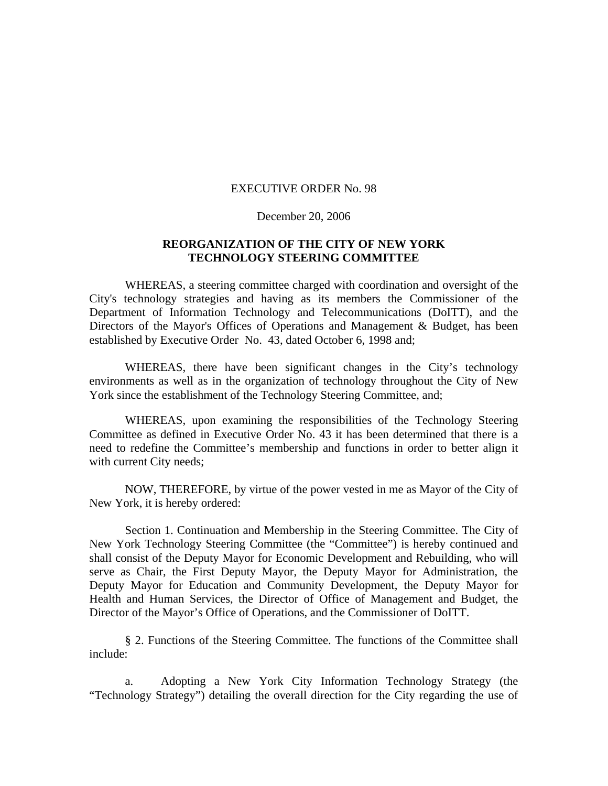## EXECUTIVE ORDER No. 98

## December 20, 2006

## **REORGANIZATION OF THE CITY OF NEW YORK TECHNOLOGY STEERING COMMITTEE**

 WHEREAS, a steering committee charged with coordination and oversight of the City's technology strategies and having as its members the Commissioner of the Department of Information Technology and Telecommunications (DoITT), and the Directors of the Mayor's Offices of Operations and Management & Budget, has been established by Executive Order No. 43, dated October 6, 1998 and;

 WHEREAS, there have been significant changes in the City's technology environments as well as in the organization of technology throughout the City of New York since the establishment of the Technology Steering Committee, and;

 WHEREAS, upon examining the responsibilities of the Technology Steering Committee as defined in Executive Order No. 43 it has been determined that there is a need to redefine the Committee's membership and functions in order to better align it with current City needs;

 NOW, THEREFORE, by virtue of the power vested in me as Mayor of the City of New York, it is hereby ordered:

Section 1. Continuation and Membership in the Steering Committee. The City of New York Technology Steering Committee (the "Committee") is hereby continued and shall consist of the Deputy Mayor for Economic Development and Rebuilding, who will serve as Chair, the First Deputy Mayor, the Deputy Mayor for Administration, the Deputy Mayor for Education and Community Development, the Deputy Mayor for Health and Human Services, the Director of Office of Management and Budget, the Director of the Mayor's Office of Operations, and the Commissioner of DoITT.

§ 2. Functions of the Steering Committee. The functions of the Committee shall include:

a. Adopting a New York City Information Technology Strategy (the "Technology Strategy") detailing the overall direction for the City regarding the use of